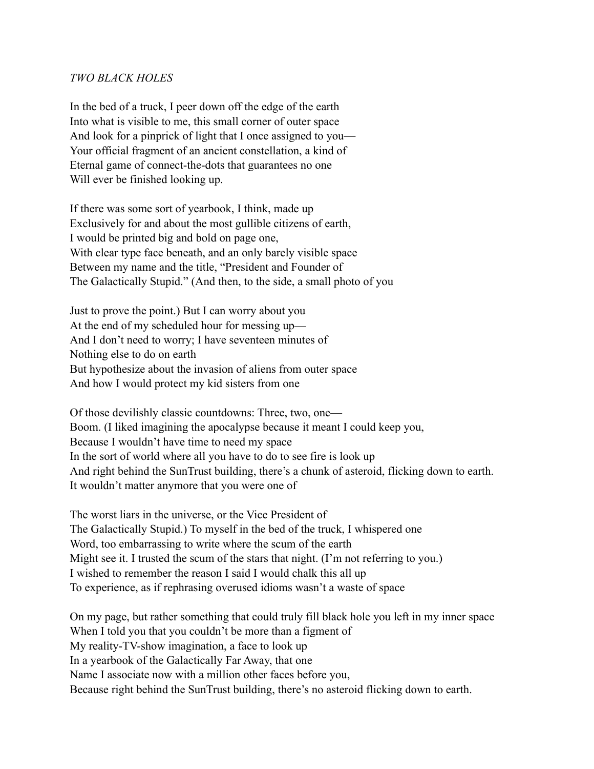## *TWO BLACK HOLES*

In the bed of a truck, I peer down off the edge of the earth Into what is visible to me, this small corner of outer space And look for a pinprick of light that I once assigned to you— Your official fragment of an ancient constellation, a kind of Eternal game of connect-the-dots that guarantees no one Will ever be finished looking up.

If there was some sort of yearbook, I think, made up Exclusively for and about the most gullible citizens of earth, I would be printed big and bold on page one, With clear type face beneath, and an only barely visible space Between my name and the title, "President and Founder of The Galactically Stupid." (And then, to the side, a small photo of you

Just to prove the point.) But I can worry about you At the end of my scheduled hour for messing up— And I don't need to worry; I have seventeen minutes of Nothing else to do on earth But hypothesize about the invasion of aliens from outer space And how I would protect my kid sisters from one

Of those devilishly classic countdowns: Three, two, one— Boom. (I liked imagining the apocalypse because it meant I could keep you, Because I wouldn't have time to need my space In the sort of world where all you have to do to see fire is look up And right behind the SunTrust building, there's a chunk of asteroid, flicking down to earth. It wouldn't matter anymore that you were one of

The worst liars in the universe, or the Vice President of The Galactically Stupid.) To myself in the bed of the truck, I whispered one Word, too embarrassing to write where the scum of the earth Might see it. I trusted the scum of the stars that night. (I'm not referring to you.) I wished to remember the reason I said I would chalk this all up To experience, as if rephrasing overused idioms wasn't a waste of space

On my page, but rather something that could truly fill black hole you left in my inner space When I told you that you couldn't be more than a figment of My reality-TV-show imagination, a face to look up In a yearbook of the Galactically Far Away, that one Name I associate now with a million other faces before you, Because right behind the SunTrust building, there's no asteroid flicking down to earth.